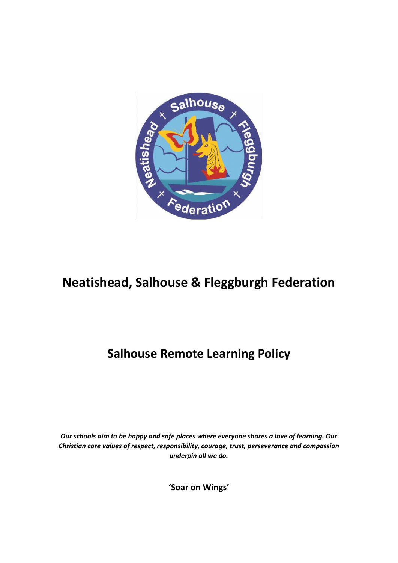

# **Neatishead, Salhouse & Fleggburgh Federation**

## **Salhouse Remote Learning Policy**

*Our schools aim to be happy and safe places where everyone shares a love of learning. Our Christian core values of respect, responsibility, courage, trust, perseverance and compassion underpin all we do.*

**'Soar on Wings'**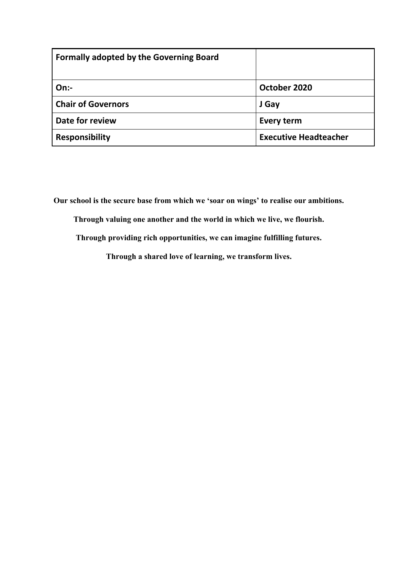| <b>Formally adopted by the Governing Board</b> |                              |
|------------------------------------------------|------------------------------|
| On:                                            | October 2020                 |
| <b>Chair of Governors</b>                      | J Gay                        |
| Date for review                                | Every term                   |
| <b>Responsibility</b>                          | <b>Executive Headteacher</b> |

**Our school is the secure base from which we 'soar on wings' to realise our ambitions.**

**Through valuing one another and the world in which we live, we flourish.**

**Through providing rich opportunities, we can imagine fulfilling futures.**

**Through a shared love of learning, we transform lives.**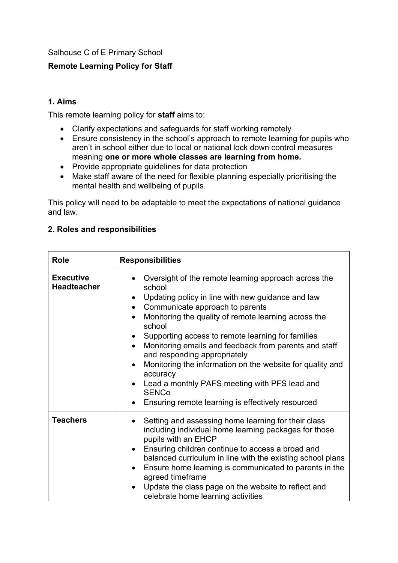Salhouse C of E Primary School

## **Remote Learning Policy for Staff**

#### **1. Aims**

This remote learning policy for **staff** aims to:

- Clarify expectations and safeguards for staff working remotely
- Ensure consistency in the school's approach to remote learning for pupils who aren't in school either due to local or national lock down control measures meaning **one or more whole classes are learning from home.**
- Provide appropriate guidelines for data protection
- Make staff aware of the need for flexible planning especially prioritising the mental health and wellbeing of pupils.

This policy will need to be adaptable to meet the expectations of national guidance and law.

| <b>Role</b>                            | <b>Responsibilities</b>                                                                                                                                                                                                                                                                                                                                                                                                                                                                                                                                                                                                        |  |
|----------------------------------------|--------------------------------------------------------------------------------------------------------------------------------------------------------------------------------------------------------------------------------------------------------------------------------------------------------------------------------------------------------------------------------------------------------------------------------------------------------------------------------------------------------------------------------------------------------------------------------------------------------------------------------|--|
| <b>Executive</b><br><b>Headteacher</b> | Oversight of the remote learning approach across the<br>school<br>Updating policy in line with new guidance and law<br>Communicate approach to parents<br>$\bullet$<br>Monitoring the quality of remote learning across the<br>$\bullet$<br>school<br>Supporting access to remote learning for families<br>٠<br>Monitoring emails and feedback from parents and staff<br>$\bullet$<br>and responding appropriately<br>Monitoring the information on the website for quality and<br>$\bullet$<br>accuracy<br>Lead a monthly PAFS meeting with PFS lead and<br><b>SENCo</b><br>Ensuring remote learning is effectively resourced |  |
| <b>Teachers</b>                        | Setting and assessing home learning for their class<br>$\bullet$<br>including individual home learning packages for those<br>pupils with an EHCP<br>Ensuring children continue to access a broad and<br>$\bullet$<br>balanced curriculum in line with the existing school plans<br>Ensure home learning is communicated to parents in the<br>agreed timeframe<br>Update the class page on the website to reflect and<br>celebrate home learning activities                                                                                                                                                                     |  |

#### **2. Roles and responsibilities**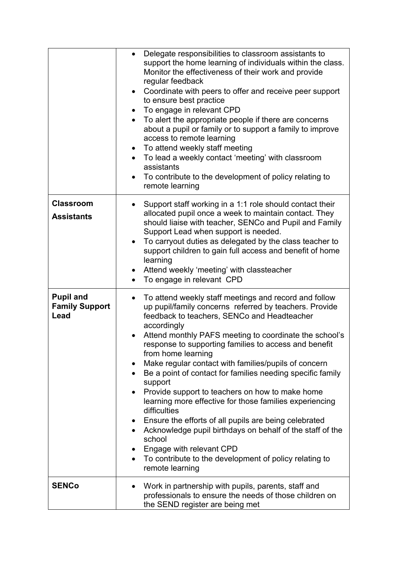|                                                   | Delegate responsibilities to classroom assistants to<br>support the home learning of individuals within the class.<br>Monitor the effectiveness of their work and provide<br>regular feedback<br>Coordinate with peers to offer and receive peer support<br>$\bullet$<br>to ensure best practice<br>To engage in relevant CPD<br>To alert the appropriate people if there are concerns<br>about a pupil or family or to support a family to improve<br>access to remote learning<br>To attend weekly staff meeting<br>$\bullet$<br>To lead a weekly contact 'meeting' with classroom<br>assistants<br>To contribute to the development of policy relating to<br>remote learning |
|---------------------------------------------------|---------------------------------------------------------------------------------------------------------------------------------------------------------------------------------------------------------------------------------------------------------------------------------------------------------------------------------------------------------------------------------------------------------------------------------------------------------------------------------------------------------------------------------------------------------------------------------------------------------------------------------------------------------------------------------|
| <b>Classroom</b>                                  | Support staff working in a 1:1 role should contact their<br>$\bullet$                                                                                                                                                                                                                                                                                                                                                                                                                                                                                                                                                                                                           |
| <b>Assistants</b>                                 | allocated pupil once a week to maintain contact. They<br>should liaise with teacher, SENCo and Pupil and Family<br>Support Lead when support is needed.<br>To carryout duties as delegated by the class teacher to<br>support children to gain full access and benefit of home<br>learning                                                                                                                                                                                                                                                                                                                                                                                      |
|                                                   | Attend weekly 'meeting' with classteacher<br>To engage in relevant CPD<br>$\bullet$                                                                                                                                                                                                                                                                                                                                                                                                                                                                                                                                                                                             |
| <b>Pupil and</b><br><b>Family Support</b><br>Lead | To attend weekly staff meetings and record and follow<br>up pupil/family concerns referred by teachers. Provide<br>feedback to teachers, SENCo and Headteacher<br>accordingly                                                                                                                                                                                                                                                                                                                                                                                                                                                                                                   |
|                                                   | Attend monthly PAFS meeting to coordinate the school's<br>response to supporting families to access and benefit<br>from home learning                                                                                                                                                                                                                                                                                                                                                                                                                                                                                                                                           |
|                                                   | Make regular contact with families/pupils of concern<br>Be a point of contact for families needing specific family<br>support                                                                                                                                                                                                                                                                                                                                                                                                                                                                                                                                                   |
|                                                   | Provide support to teachers on how to make home<br>learning more effective for those families experiencing<br>difficulties                                                                                                                                                                                                                                                                                                                                                                                                                                                                                                                                                      |
|                                                   | Ensure the efforts of all pupils are being celebrated<br>Acknowledge pupil birthdays on behalf of the staff of the<br>school                                                                                                                                                                                                                                                                                                                                                                                                                                                                                                                                                    |
|                                                   | Engage with relevant CPD                                                                                                                                                                                                                                                                                                                                                                                                                                                                                                                                                                                                                                                        |
|                                                   | To contribute to the development of policy relating to<br>remote learning                                                                                                                                                                                                                                                                                                                                                                                                                                                                                                                                                                                                       |
| <b>SENCo</b>                                      | Work in partnership with pupils, parents, staff and<br>professionals to ensure the needs of those children on<br>the SEND register are being met                                                                                                                                                                                                                                                                                                                                                                                                                                                                                                                                |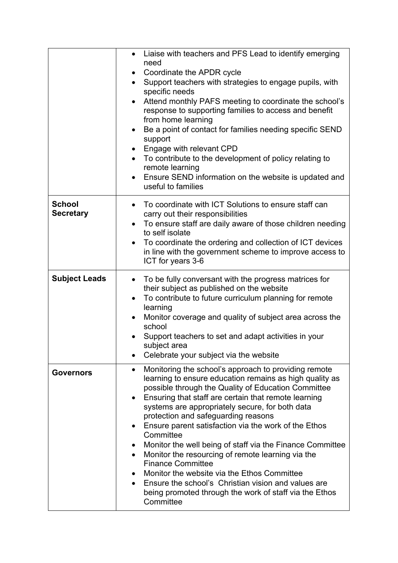|                                   | Liaise with teachers and PFS Lead to identify emerging<br>need<br>Coordinate the APDR cycle<br>Support teachers with strategies to engage pupils, with<br>$\bullet$<br>specific needs<br>Attend monthly PAFS meeting to coordinate the school's<br>$\bullet$<br>response to supporting families to access and benefit<br>from home learning<br>Be a point of contact for families needing specific SEND<br>$\bullet$<br>support<br>Engage with relevant CPD<br>To contribute to the development of policy relating to<br>$\bullet$<br>remote learning<br>Ensure SEND information on the website is updated and<br>$\bullet$<br>useful to families                                                                                                               |
|-----------------------------------|-----------------------------------------------------------------------------------------------------------------------------------------------------------------------------------------------------------------------------------------------------------------------------------------------------------------------------------------------------------------------------------------------------------------------------------------------------------------------------------------------------------------------------------------------------------------------------------------------------------------------------------------------------------------------------------------------------------------------------------------------------------------|
| <b>School</b><br><b>Secretary</b> | To coordinate with ICT Solutions to ensure staff can<br>carry out their responsibilities<br>To ensure staff are daily aware of those children needing<br>$\bullet$<br>to self isolate<br>To coordinate the ordering and collection of ICT devices<br>$\bullet$<br>in line with the government scheme to improve access to<br>ICT for years 3-6                                                                                                                                                                                                                                                                                                                                                                                                                  |
| <b>Subject Leads</b>              | To be fully conversant with the progress matrices for<br>$\bullet$<br>their subject as published on the website<br>To contribute to future curriculum planning for remote<br>$\bullet$<br>learning<br>Monitor coverage and quality of subject area across the<br>school<br>Support teachers to set and adapt activities in your<br>subject area<br>Celebrate your subject via the website                                                                                                                                                                                                                                                                                                                                                                       |
| <b>Governors</b>                  | Monitoring the school's approach to providing remote<br>$\bullet$<br>learning to ensure education remains as high quality as<br>possible through the Quality of Education Committee<br>Ensuring that staff are certain that remote learning<br>systems are appropriately secure, for both data<br>protection and safeguarding reasons<br>Ensure parent satisfaction via the work of the Ethos<br>Committee<br>Monitor the well being of staff via the Finance Committee<br>Monitor the resourcing of remote learning via the<br>$\bullet$<br><b>Finance Committee</b><br>Monitor the website via the Ethos Committee<br>Ensure the school's Christian vision and values are<br>$\bullet$<br>being promoted through the work of staff via the Ethos<br>Committee |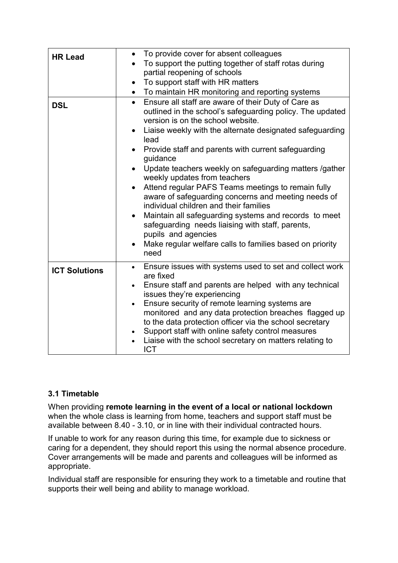| <b>HR Lead</b>       | • To provide cover for absent colleagues<br>To support the putting together of staff rotas during<br>partial reopening of schools<br>To support staff with HR matters<br>$\bullet$<br>To maintain HR monitoring and reporting systems<br>$\bullet$                                                                                                                                                                                                                                                                                                                                                                                                                                                                                                                                           |
|----------------------|----------------------------------------------------------------------------------------------------------------------------------------------------------------------------------------------------------------------------------------------------------------------------------------------------------------------------------------------------------------------------------------------------------------------------------------------------------------------------------------------------------------------------------------------------------------------------------------------------------------------------------------------------------------------------------------------------------------------------------------------------------------------------------------------|
| <b>DSL</b>           | Ensure all staff are aware of their Duty of Care as<br>$\bullet$<br>outlined in the school's safeguarding policy. The updated<br>version is on the school website.<br>Liaise weekly with the alternate designated safeguarding<br>$\bullet$<br>lead<br>Provide staff and parents with current safeguarding<br>guidance<br>Update teachers weekly on safeguarding matters /gather<br>$\bullet$<br>weekly updates from teachers<br>Attend regular PAFS Teams meetings to remain fully<br>aware of safeguarding concerns and meeting needs of<br>individual children and their families<br>Maintain all safeguarding systems and records to meet<br>safeguarding needs liaising with staff, parents,<br>pupils and agencies<br>Make regular welfare calls to families based on priority<br>need |
| <b>ICT Solutions</b> | Ensure issues with systems used to set and collect work<br>$\bullet$<br>are fixed<br>Ensure staff and parents are helped with any technical<br>issues they're experiencing<br>Ensure security of remote learning systems are<br>$\bullet$<br>monitored and any data protection breaches flagged up<br>to the data protection officer via the school secretary<br>Support staff with online safety control measures<br>$\bullet$<br>Liaise with the school secretary on matters relating to<br><b>ICT</b>                                                                                                                                                                                                                                                                                     |

## **3.1 Timetable**

When providing **remote learning in the event of a local or national lockdown** when the whole class is learning from home, teachers and support staff must be available between 8.40 - 3.10, or in line with their individual contracted hours.

If unable to work for any reason during this time, for example due to sickness or caring for a dependent, they should report this using the normal absence procedure. Cover arrangements will be made and parents and colleagues will be informed as appropriate.

Individual staff are responsible for ensuring they work to a timetable and routine that supports their well being and ability to manage workload.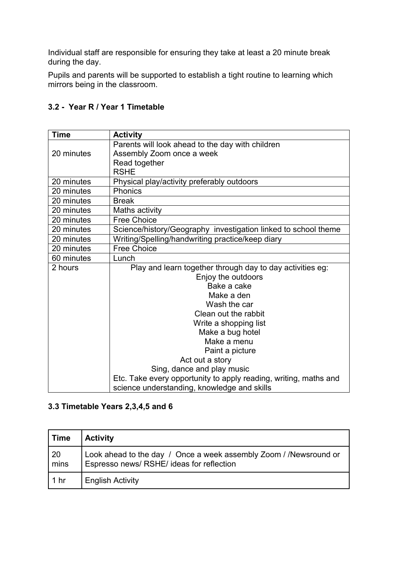Individual staff are responsible for ensuring they take at least a 20 minute break during the day.

Pupils and parents will be supported to establish a tight routine to learning which mirrors being in the classroom.

## **3.2 - Year R / Year 1 Timetable**

| <b>Time</b> | <b>Activity</b>                                                  |
|-------------|------------------------------------------------------------------|
|             | Parents will look ahead to the day with children                 |
| 20 minutes  | Assembly Zoom once a week                                        |
|             | Read together                                                    |
|             | <b>RSHE</b>                                                      |
| 20 minutes  | Physical play/activity preferably outdoors                       |
| 20 minutes  | Phonics                                                          |
| 20 minutes  | <b>Break</b>                                                     |
| 20 minutes  | Maths activity                                                   |
| 20 minutes  | <b>Free Choice</b>                                               |
| 20 minutes  | Science/history/Geography investigation linked to school theme   |
| 20 minutes  | Writing/Spelling/handwriting practice/keep diary                 |
| 20 minutes  | <b>Free Choice</b>                                               |
| 60 minutes  | Lunch                                                            |
| 2 hours     | Play and learn together through day to day activities eg:        |
|             | Enjoy the outdoors                                               |
|             | Bake a cake                                                      |
|             | Make a den                                                       |
|             | Wash the car                                                     |
|             | Clean out the rabbit                                             |
|             | Write a shopping list                                            |
|             | Make a bug hotel                                                 |
|             | Make a menu                                                      |
|             | Paint a picture                                                  |
|             | Act out a story                                                  |
|             | Sing, dance and play music                                       |
|             | Etc. Take every opportunity to apply reading, writing, maths and |
|             | science understanding, knowledge and skills                      |

## **3.3 Timetable Years 2,3,4,5 and 6**

| <b>Time</b>            | <b>Activity</b>                                                                                                |
|------------------------|----------------------------------------------------------------------------------------------------------------|
| 20<br>min <sub>s</sub> | Look ahead to the day / Once a week assembly Zoom / /Newsround or<br>Espresso news/ RSHE/ ideas for reflection |
| 1 <sub>hr</sub>        | <b>English Activity</b>                                                                                        |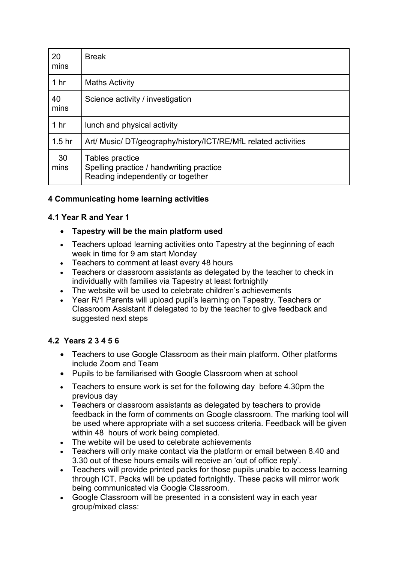| 20<br>mins        | <b>Break</b>                                                                                     |
|-------------------|--------------------------------------------------------------------------------------------------|
| 1 <sub>hr</sub>   | <b>Maths Activity</b>                                                                            |
| 40<br>mins        | Science activity / investigation                                                                 |
| 1 <sub>hr</sub>   | lunch and physical activity                                                                      |
| 1.5 <sub>hr</sub> | Art/ Music/ DT/geography/history/ICT/RE/MfL related activities                                   |
| 30<br>mins        | Tables practice<br>Spelling practice / handwriting practice<br>Reading independently or together |

## **4 Communicating home learning activities**

## **4.1 Year R and Year 1**

- ∑ **Tapestry will be the main platform used**
- Teachers upload learning activities onto Tapestry at the beginning of each week in time for 9 am start Monday
- ∑ Teachers to comment at least every 48 hours
- ∑ Teachers or classroom assistants as delegated by the teacher to check in individually with families via Tapestry at least fortnightly
- The website will be used to celebrate children's achievements
- Year R/1 Parents will upload pupil's learning on Tapestry. Teachers or Classroom Assistant if delegated to by the teacher to give feedback and suggested next steps

## **4.2 Years 2 3 4 5 6**

- Teachers to use Google Classroom as their main platform. Other platforms include Zoom and Team
- Pupils to be familiarised with Google Classroom when at school
- ∑ Teachers to ensure work is set for the following day before 4.30pm the previous day
- ∑ Teachers or classroom assistants as delegated by teachers to provide feedback in the form of comments on Google classroom. The marking tool will be used where appropriate with a set success criteria. Feedback will be given within 48 hours of work being completed.
- The webite will be used to celebrate achievements
- ∑ Teachers will only make contact via the platform or email between 8.40 and 3.30 out of these hours emails will receive an 'out of office reply'.
- Teachers will provide printed packs for those pupils unable to access learning through ICT. Packs will be updated fortnightly. These packs will mirror work being communicated via Google Classroom.
- ∑ Google Classroom will be presented in a consistent way in each year group/mixed class: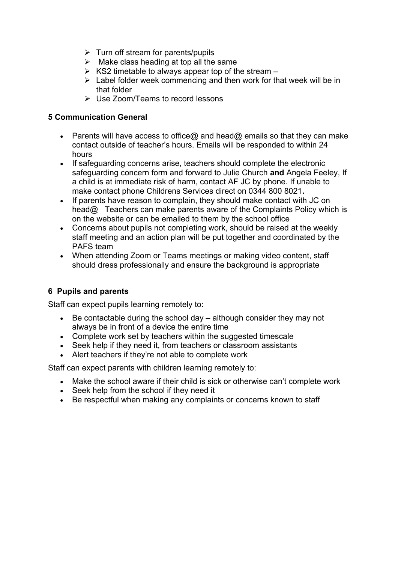- $\triangleright$  Turn off stream for parents/pupils
- $\triangleright$  Make class heading at top all the same
- $\triangleright$  KS2 timetable to always appear top of the stream –
- $\triangleright$  Label folder week commencing and then work for that week will be in that folder
- $\triangleright$  Use Zoom/Teams to record lessons

#### **5 Communication General**

- Example Parents will have access to office@ and head@ emails so that they can make contact outside of teacher's hours. Emails will be responded to within 24 hours
- If safeguarding concerns arise, teachers should complete the electronic safeguarding concern form and forward to Julie Church **and** Angela Feeley, If a child is at immediate risk of harm, contact AF JC by phone. If unable to make contact phone Childrens Services direct on 0344 800 8021**.**
- If parents have reason to complain, they should make contact with JC on head@ Teachers can make parents aware of the Complaints Policy which is on the website or can be emailed to them by the school office
- Concerns about pupils not completing work, should be raised at the weekly staff meeting and an action plan will be put together and coordinated by the PAFS team
- When attending Zoom or Teams meetings or making video content, staff should dress professionally and ensure the background is appropriate

## **6 Pupils and parents**

Staff can expect pupils learning remotely to:

- Be contactable during the school day although consider they may not always be in front of a device the entire time
- ∑ Complete work set by teachers within the suggested timescale
- Seek help if they need it, from teachers or classroom assistants
- Alert teachers if they're not able to complete work

Staff can expect parents with children learning remotely to:

- Make the school aware if their child is sick or otherwise can't complete work
- Seek help from the school if they need it
- Be respectful when making any complaints or concerns known to staff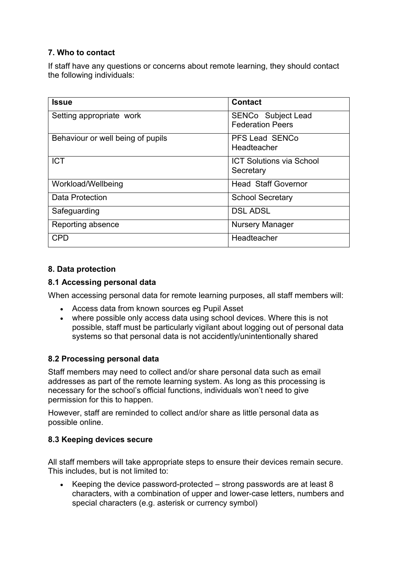## **7. Who to contact**

If staff have any questions or concerns about remote learning, they should contact the following individuals:

| <b>Issue</b>                      | <b>Contact</b>                  |
|-----------------------------------|---------------------------------|
| Setting appropriate work          | <b>SENCo</b> Subject Lead       |
|                                   | <b>Federation Peers</b>         |
| Behaviour or well being of pupils | <b>PFS Lead SENCo</b>           |
|                                   | Headteacher                     |
| <b>ICT</b>                        | <b>ICT Solutions via School</b> |
|                                   | Secretary                       |
| Workload/Wellbeing                | <b>Head Staff Governor</b>      |
| Data Protection                   | <b>School Secretary</b>         |
| Safeguarding                      | <b>DSL ADSL</b>                 |
| Reporting absence                 | <b>Nursery Manager</b>          |
| <b>CPD</b>                        | Headteacher                     |

## **8. Data protection**

#### **8.1 Accessing personal data**

When accessing personal data for remote learning purposes, all staff members will:

- Access data from known sources eg Pupil Asset
- where possible only access data using school devices. Where this is not possible, staff must be particularly vigilant about logging out of personal data systems so that personal data is not accidently/unintentionally shared

#### **8.2 Processing personal data**

Staff members may need to collect and/or share personal data such as email addresses as part of the remote learning system. As long as this processing is necessary for the school's official functions, individuals won't need to give permission for this to happen.

However, staff are reminded to collect and/or share as little personal data as possible online.

## **8.3 Keeping devices secure**

All staff members will take appropriate steps to ensure their devices remain secure. This includes, but is not limited to:

■ Keeping the device password-protected – strong passwords are at least 8 characters, with a combination of upper and lower-case letters, numbers and special characters (e.g. asterisk or currency symbol)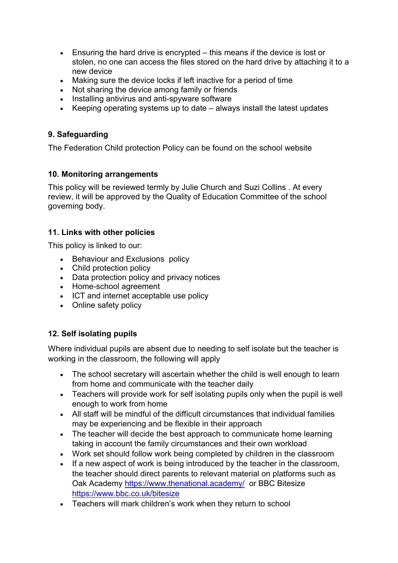- Ensuring the hard drive is encrypted this means if the device is lost or stolen, no one can access the files stored on the hard drive by attaching it to a new device
- Making sure the device locks if left inactive for a period of time
- Not sharing the device among family or friends
- Installing antivirus and anti-spyware software
- Keeping operating systems up to date always install the latest updates

## **9. Safeguarding**

The Federation Child protection Policy can be found on the school website

## **10. Monitoring arrangements**

This policy will be reviewed termly by Julie Church and Suzi Collins . At every review, it will be approved by the Quality of Education Committee of the school governing body.

## **11. Links with other policies**

This policy is linked to our:

- ∑ Behaviour and Exclusions policy
- Child protection policy
- Data protection policy and privacy notices
- ∑ Home-school agreement
- ICT and internet acceptable use policy
- Online safety policy

## **12. Self isolating pupils**

Where individual pupils are absent due to needing to self isolate but the teacher is working in the classroom, the following will apply

- The school secretary will ascertain whether the child is well enough to learn from home and communicate with the teacher daily
- Teachers will provide work for self isolating pupils only when the pupil is well enough to work from home
- All staff will be mindful of the difficult circumstances that individual families may be experiencing and be flexible in their approach
- The teacher will decide the best approach to communicate home learning taking in account the family circumstances and their own workload
- Work set should follow work being completed by children in the classroom
- If a new aspect of work is being introduced by the teacher in the classroom, the teacher should direct parents to relevant material on platforms such as Oak Academy <https://www.thenational.academy/> or BBC Bitesize <https://www.bbc.co.uk/bitesize>
- ∑ Teachers will mark children's work when they return to school